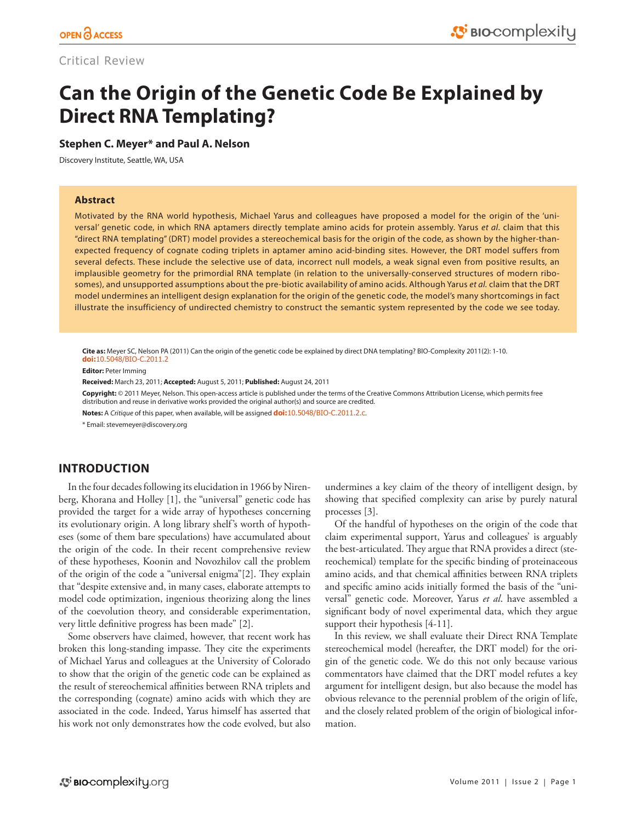# Critical Review

# **Can the Origin of the Genetic Code Be Explained by Direct RNA Templating?**

#### **Stephen C. Meyer\* and Paul A. Nelson**

Discovery Institute, Seattle, WA, USA

#### **Abstract**

Motivated by the RNA world hypothesis, Michael Yarus and colleagues have proposed a model for the origin of the 'universal' genetic code, in which RNA aptamers directly template amino acids for protein assembly. Yarus *et al*. claim that this "direct RNA templating" (DRT) model provides a stereochemical basis for the origin of the code, as shown by the higher-thanexpected frequency of cognate coding triplets in aptamer amino acid-binding sites. However, the DRT model suffers from several defects. These include the selective use of data, incorrect null models, a weak signal even from positive results, an implausible geometry for the primordial RNA template (in relation to the universally-conserved structures of modern ribosomes), and unsupported assumptions about the pre-biotic availability of amino acids. Although Yarus *et al.* claim that the DRT model undermines an intelligent design explanation for the origin of the genetic code, the model's many shortcomings in fact illustrate the insufficiency of undirected chemistry to construct the semantic system represented by the code we see today.

**Cite as:** Meyer SC, Nelson PA (2011) Can the origin of the genetic code be explained by direct DNA templating? BIO-Complexity 2011(2): 1-10. **doi:**[10.5048/BIO-C.2011.2](http://dx.doi.org/10.5048/BIO-C.2011.2)

**Editor:** Peter Imming

**Received:** March 23, 2011; **Accepted:** August 5, 2011; **Published:** August 24, 2011

**Copyright:** © 2011 Meyer, Nelson. This open-access article is published under the terms of the Creative Commons Attribution License, which permits free distribution and reuse in derivative works provided the original author(s) and source are credited.

**Notes:** A *Critique* of this paper, when available, will be assigned **doi:**[10.5048/BIO-C.2011.2.c](http://dx.doi.org/10.5048/BIO-C.2011.2.c).

\* Email: [stevemeyer@discovery.org](mailto:stevemeyer@discovery.org)

# **INTRODUCTION**

In the four decades following its elucidation in 1966 by Nirenberg, Khorana and Holley [1], the "universal" genetic code has provided the target for a wide array of hypotheses concerning its evolutionary origin. A long library shelf's worth of hypotheses (some of them bare speculations) have accumulated about the origin of the code. In their recent comprehensive review of these hypotheses, Koonin and Novozhilov call the problem of the origin of the code a "universal enigma"[2]. They explain that "despite extensive and, in many cases, elaborate attempts to model code optimization, ingenious theorizing along the lines of the coevolution theory, and considerable experimentation, very little definitive progress has been made" [2].

Some observers have claimed, however, that recent work has broken this long-standing impasse. They cite the experiments of Michael Yarus and colleagues at the University of Colorado to show that the origin of the genetic code can be explained as the result of stereochemical affinities between RNA triplets and the corresponding (cognate) amino acids with which they are associated in the code. Indeed, Yarus himself has asserted that his work not only demonstrates how the code evolved, but also undermines a key claim of the theory of intelligent design, by showing that specified complexity can arise by purely natural processes [3].

Of the handful of hypotheses on the origin of the code that claim experimental support, Yarus and colleagues' is arguably the best-articulated. They argue that RNA provides a direct (stereochemical) template for the specific binding of proteinaceous amino acids, and that chemical affinities between RNA triplets and specific amino acids initially formed the basis of the "universal" genetic code. Moreover, Yarus *et al*. have assembled a significant body of novel experimental data, which they argue support their hypothesis [4-11].

In this review, we shall evaluate their Direct RNA Template stereochemical model (hereafter, the DRT model) for the origin of the genetic code. We do this not only because various commentators have claimed that the DRT model refutes a key argument for intelligent design, but also because the model has obvious relevance to the perennial problem of the origin of life, and the closely related problem of the origin of biological information.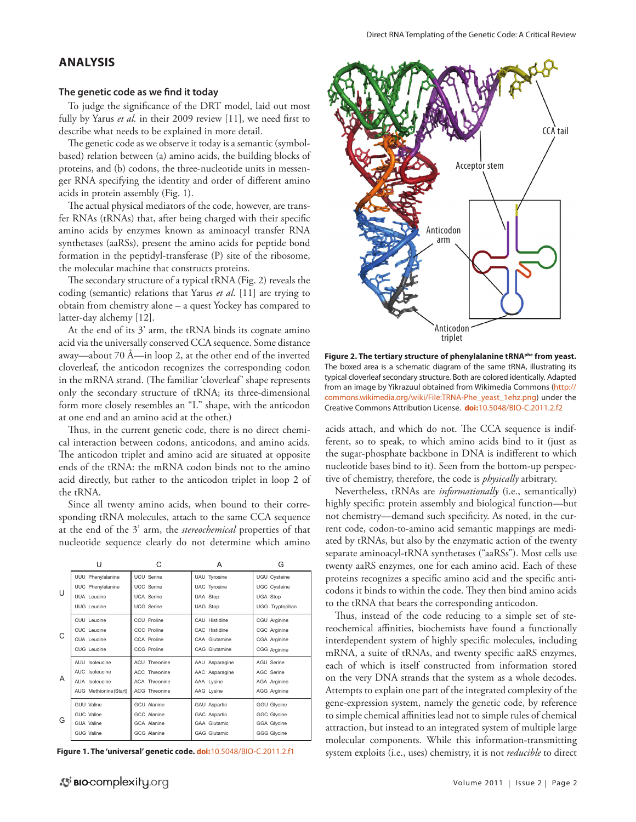### **ANALYSIS**

#### **The genetic code as we find it today**

To judge the significance of the DRT model, laid out most fully by Yarus et al. in their 2009 review [11], we need first to describe what needs to be explained in more detail.

The genetic code as we observe it today is a semantic (symbolbased) relation between (a) amino acids, the building blocks of proteins, and (b) codons, the three-nucleotide units in messenger RNA specifying the identity and order of different amino acids in protein assembly (Fig. 1).

The actual physical mediators of the code, however, are transfer RNAs (tRNAs) that, after being charged with their specific amino acids by enzymes known as aminoacyl transfer RNA synthetases (aaRSs), present the amino acids for peptide bond formation in the peptidyl-transferase (P) site of the ribosome, the molecular machine that constructs proteins.

The secondary structure of a typical tRNA (Fig. 2) reveals the coding (semantic) relations that Yarus *et al*. [11] are trying to obtain from chemistry alone – a quest Yockey has compared to latter-day alchemy [12].

At the end of its 3' arm, the tRNA binds its cognate amino acid via the universally conserved CCA sequence. Some distance away—about 70 Å—in loop 2, at the other end of the inverted cloverleaf, the anticodon recognizes the corresponding codon in the mRNA strand. (The familiar 'cloverleaf' shape represents only the secondary structure of tRNA; its three-dimensional form more closely resembles an "L" shape, with the anticodon at one end and an amino acid at the other.)

Thus, in the current genetic code, there is no direct chemical interaction between codons, anticodons, and amino acids. The anticodon triplet and amino acid are situated at opposite ends of the tRNA: the mRNA codon binds not to the amino acid directly, but rather to the anticodon triplet in loop 2 of the tRNA.

Since all twenty amino acids, when bound to their corresponding tRNA molecules, attach to the same CCA sequence at the end of the 3' arm, the *stereochemical* properties of that nucleotide sequence clearly do not determine which amino

|   | U                      | C                  | А                   | G                   |
|---|------------------------|--------------------|---------------------|---------------------|
| U | UUU Phenylalanine      | <b>UCU Serine</b>  | UAU Tyrosine        | <b>UGU Cysteine</b> |
|   | UUC Phenylalanine      | <b>UCC Serine</b>  | UAC Tyrosine        | <b>UGC Cysteine</b> |
|   | UUA Leucine            | <b>UCA Serine</b>  | UAA Stop            | <b>UGA Stop</b>     |
|   | UUG Leucine            | <b>UCG Serine</b>  | <b>UAG Stop</b>     | UGG Tryptophan      |
| C | CUU Leucine            | CCU Proline        | CAU Histidine       | CGU Arginine        |
|   | CUC Leucine            | CCC Proline        | CAC Histidine       | CGC Arginine        |
|   | CUA Leucine            | CCA Proline        | CAA Glutamine       | CGA Arginine        |
|   | CUG Leucine            | CCG Proline        | CAG Glutamine       | CGG Arginine        |
| A | AUU Isoleucine         | ACU Threonine      | AAU Asparagine      | <b>AGU Serine</b>   |
|   | AUC Isoleucine         | ACC Threonine      | AAC Asparagine      | AGC Serine          |
|   | AUA Isoleucine         | ACA Threonine      | AAA Lysine          | AGA Arginine        |
|   | AUG Methionine (Start) | ACG Threonine      | AAG Lysine          | AGG Arginine        |
| G | GUU Valine             | <b>GCU</b> Alanine | GAU Aspartic        | <b>GGU Glycine</b>  |
|   | GUC Valine             | GCC Alanine        | GAC Aspartic        | <b>GGC Glycine</b>  |
|   | GUA Valine             | <b>GCA Alanine</b> | <b>GAA Glutamic</b> | GGA Glycine         |
|   | GUG Valine             | GCG Alanine        | <b>GAG Glutamic</b> | GGG Glycine         |

**Figure 1. The 'universal' genetic code. doi:**[10.5048/BIO-C.2011.2.f1](http://dx.doi.org/10.5048/BIO-C.2011.2.f1)



**Figure 2. The tertiary structure of phenylalanine tRNAphe from yeast.** The boxed area is a schematic diagram of the same tRNA, illustrating its typical cloverleaf secondary structure. Both are colored identically. Adapted from an image by Yikrazuul obtained from Wikimedia Commons [\(http://](http://commons.wikimedia.org/wiki/File:TRNA-Phe_yeast_1ehz.png) [commons.wikimedia.org/wiki/File:TRNA-Phe\\_yeast\\_1ehz.png\)](http://commons.wikimedia.org/wiki/File:TRNA-Phe_yeast_1ehz.png) under the Creative Commons Attribution License. **doi:**[10.5048/BIO-C.2011.2.f2](http://dx.doi.org/10.5048/BIO-C.2011.2.f2)

acids attach, and which do not. The CCA sequence is indifferent, so to speak, to which amino acids bind to it (just as the sugar-phosphate backbone in DNA is indifferent to which nucleotide bases bind to it). Seen from the bottom-up perspective of chemistry, therefore, the code is *physically* arbitrary.

Nevertheless, tRNAs are *informationally* (i.e., semantically) highly specific: protein assembly and biological function—but not chemistry—demand such specificity. As noted, in the current code, codon-to-amino acid semantic mappings are mediated by tRNAs, but also by the enzymatic action of the twenty separate aminoacyl-tRNA synthetases ("aaRSs"). Most cells use twenty aaRS enzymes, one for each amino acid. Each of these proteins recognizes a specific amino acid and the specific anticodons it binds to within the code. They then bind amino acids to the tRNA that bears the corresponding anticodon.

Thus, instead of the code reducing to a simple set of stereochemical affinities, biochemists have found a functionally interdependent system of highly specific molecules, including mRNA, a suite of tRNAs, and twenty specific aaRS enzymes, each of which is itself constructed from information stored on the very DNA strands that the system as a whole decodes. Attempts to explain one part of the integrated complexity of the gene-expression system, namely the genetic code, by reference to simple chemical affinities lead not to simple rules of chemical attraction, but instead to an integrated system of multiple large molecular components. While this information-transmitting system exploits (i.e., uses) chemistry, it is not *reducible* to direct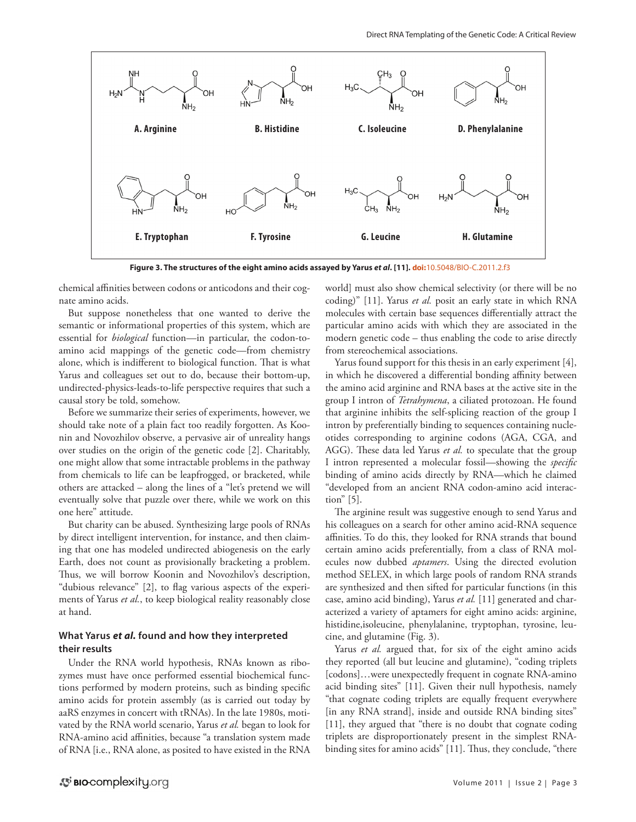

**Figure 3. The structures of the eight amino acids assayed by Yarus** *et al***. [11]. doi:**[10.5048/BIO-C.2011.2.f3](http://dx.doi.org/10.5048/BIO-C.2011.2.f3)

chemical affinities between codons or anticodons and their cognate amino acids.

But suppose nonetheless that one wanted to derive the semantic or informational properties of this system, which are essential for *biological* function—in particular, the codon-toamino acid mappings of the genetic code—from chemistry alone, which is indifferent to biological function. That is what Yarus and colleagues set out to do, because their bottom-up, undirected-physics-leads-to-life perspective requires that such a causal story be told, somehow.

Before we summarize their series of experiments, however, we should take note of a plain fact too readily forgotten. As Koonin and Novozhilov observe, a pervasive air of unreality hangs over studies on the origin of the genetic code [2]. Charitably, one might allow that some intractable problems in the pathway from chemicals to life can be leapfrogged, or bracketed, while others are attacked – along the lines of a "let's pretend we will eventually solve that puzzle over there, while we work on this one here" attitude.

But charity can be abused. Synthesizing large pools of RNAs by direct intelligent intervention, for instance, and then claiming that one has modeled undirected abiogenesis on the early Earth, does not count as provisionally bracketing a problem. Thus, we will borrow Koonin and Novozhilov's description, "dubious relevance" [2], to flag various aspects of the experiments of Yarus *et al.*, to keep biological reality reasonably close at hand.

#### **What Yarus** *et al.* **found and how they interpreted their results**

Under the RNA world hypothesis, RNAs known as ribozymes must have once performed essential biochemical functions performed by modern proteins, such as binding specific amino acids for protein assembly (as is carried out today by aaRS enzymes in concert with tRNAs). In the late 1980s, motivated by the RNA world scenario, Yarus *et al.* began to look for RNA-amino acid affinities, because "a translation system made of RNA [i.e., RNA alone, as posited to have existed in the RNA

world] must also show chemical selectivity (or there will be no coding)" [11]. Yarus *et al.* posit an early state in which RNA molecules with certain base sequences differentially attract the particular amino acids with which they are associated in the modern genetic code – thus enabling the code to arise directly from stereochemical associations.

Yarus found support for this thesis in an early experiment [4], in which he discovered a differential bonding affinity between the amino acid arginine and RNA bases at the active site in the group I intron of *Tetrahymena*, a ciliated protozoan. He found that arginine inhibits the self-splicing reaction of the group I intron by preferentially binding to sequences containing nucleotides corresponding to arginine codons (AGA, CGA, and AGG). These data led Yarus *et al.* to speculate that the group I intron represented a molecular fossil—showing the *specific* binding of amino acids directly by RNA—which he claimed "developed from an ancient RNA codon-amino acid interaction" [5].

The arginine result was suggestive enough to send Yarus and his colleagues on a search for other amino acid-RNA sequence affinities. To do this, they looked for RNA strands that bound certain amino acids preferentially, from a class of RNA molecules now dubbed *aptamers*. Using the directed evolution method SELEX, in which large pools of random RNA strands are synthesized and then sifted for particular functions (in this case, amino acid binding), Yarus *et al.* [11] generated and characterized a variety of aptamers for eight amino acids: arginine, histidine,isoleucine, phenylalanine, tryptophan, tyrosine, leucine, and glutamine (Fig. 3).

Yarus *et al.* argued that, for six of the eight amino acids they reported (all but leucine and glutamine), "coding triplets [codons]...were unexpectedly frequent in cognate RNA-amino acid binding sites" [11]. Given their null hypothesis, namely "that cognate coding triplets are equally frequent everywhere [in any RNA strand], inside and outside RNA binding sites" [11], they argued that "there is no doubt that cognate coding triplets are disproportionately present in the simplest RNAbinding sites for amino acids" [11]. Thus, they conclude, "there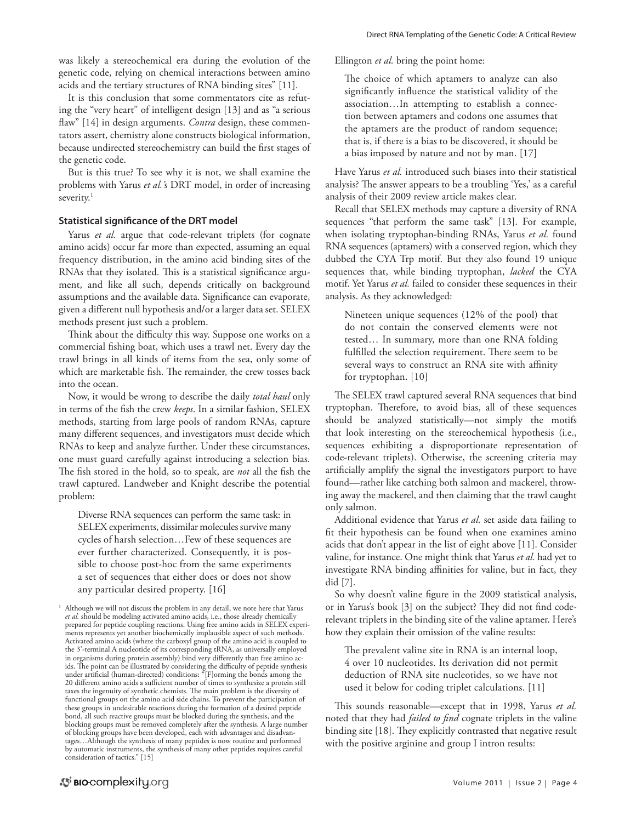was likely a stereochemical era during the evolution of the genetic code, relying on chemical interactions between amino acids and the tertiary structures of RNA binding sites" [11].

It is this conclusion that some commentators cite as refuting the "very heart" of intelligent design [13] and as "a serious flaw" [14] in design arguments. *Contra* design, these commentators assert, chemistry alone constructs biological information, because undirected stereochemistry can build the first stages of the genetic code.

But is this true? To see why it is not, we shall examine the problems with Yarus *et al.'*s DRT model, in order of increasing severity.<sup>1</sup>

#### **Statistical significance of the DRT model**

Yarus *et al.* argue that code-relevant triplets (for cognate amino acids) occur far more than expected, assuming an equal frequency distribution, in the amino acid binding sites of the RNAs that they isolated. This is a statistical significance argument, and like all such, depends critically on background assumptions and the available data. Significance can evaporate, given a different null hypothesis and/or a larger data set. SELEX methods present just such a problem.

Think about the difficulty this way. Suppose one works on a commercial fishing boat, which uses a trawl net. Every day the trawl brings in all kinds of items from the sea, only some of which are marketable fish. The remainder, the crew tosses back into the ocean.

Now, it would be wrong to describe the daily *total haul* only in terms of the fish the crew *keeps*. In a similar fashion, SELEX methods, starting from large pools of random RNAs, capture many different sequences, and investigators must decide which RNAs to keep and analyze further. Under these circumstances, one must guard carefully against introducing a selection bias. The fish stored in the hold, so to speak, are *not* all the fish the trawl captured. Landweber and Knight describe the potential problem:

Diverse RNA sequences can perform the same task: in SELEX experiments, dissimilar molecules survive many cycles of harsh selection…Few of these sequences are ever further characterized. Consequently, it is possible to choose post-hoc from the same experiments a set of sequences that either does or does not show any particular desired property. [16]

Ellington *et al.* bring the point home:

The choice of which aptamers to analyze can also significantly influence the statistical validity of the association…In attempting to establish a connection between aptamers and codons one assumes that the aptamers are the product of random sequence; that is, if there is a bias to be discovered, it should be a bias imposed by nature and not by man. [17]

Have Yarus *et al.* introduced such biases into their statistical analysis? The answer appears to be a troubling 'Yes,' as a careful analysis of their 2009 review article makes clear.

Recall that SELEX methods may capture a diversity of RNA sequences "that perform the same task" [13]. For example, when isolating tryptophan-binding RNAs, Yarus *et al.* found RNA sequences (aptamers) with a conserved region, which they dubbed the CYA Trp motif. But they also found 19 unique sequences that, while binding tryptophan, *lacked* the CYA motif. Yet Yarus *et al.* failed to consider these sequences in their analysis. As they acknowledged:

Nineteen unique sequences (12% of the pool) that do not contain the conserved elements were not tested… In summary, more than one RNA folding fulfilled the selection requirement. There seem to be several ways to construct an RNA site with affinity for tryptophan. [10]

The SELEX trawl captured several RNA sequences that bind tryptophan. Therefore, to avoid bias, all of these sequences should be analyzed statistically—not simply the motifs that look interesting on the stereochemical hypothesis (i.e., sequences exhibiting a disproportionate representation of code-relevant triplets). Otherwise, the screening criteria may artificially amplify the signal the investigators purport to have found—rather like catching both salmon and mackerel, throwing away the mackerel, and then claiming that the trawl caught only salmon.

Additional evidence that Yarus *et al.* set aside data failing to fit their hypothesis can be found when one examines amino acids that don't appear in the list of eight above [11]. Consider valine, for instance. One might think that Yarus *et al.* had yet to investigate RNA binding affinities for valine, but in fact, they did [7].

So why doesn't valine figure in the 2009 statistical analysis, or in Yarus's book [3] on the subject? They did not find coderelevant triplets in the binding site of the valine aptamer. Here's how they explain their omission of the valine results:

The prevalent valine site in RNA is an internal loop, 4 over 10 nucleotides. Its derivation did not permit deduction of RNA site nucleotides, so we have not used it below for coding triplet calculations. [11]

This sounds reasonable—except that in 1998, Yarus *et al.* noted that they had *failed to find* cognate triplets in the valine binding site [18]. They explicitly contrasted that negative result with the positive arginine and group I intron results:

<sup>&</sup>lt;sup>1</sup> Although we will not discuss the problem in any detail, we note here that Yarus *et al.* should be modeling activated amino acids, i.e., those already chemically prepared for peptide coupling reactions. Using free amino acids in SELEX experiments represents yet another biochemically implausible aspect of such methods. Activated amino acids (where the carboxyl group of the amino acid is coupled to the 3'-terminal A nucleotide of its corresponding tRNA, as universally employed in organisms during protein assembly) bind very differently than free amino acids. The point can be illustrated by considering the difficulty of peptide synthesis under artificial (human-directed) conditions: "[F]orming the bonds among the 20 different amino acids a sufficient number of times to synthesize a protein still taxes the ingenuity of synthetic chemists. The main problem is the diversity of functional groups on the amino acid side chains. To prevent the participation of these groups in undesirable reactions during the formation of a desired peptide bond, all such reactive groups must be blocked during the synthesis, and the blocking groups must be removed completely after the synthesis. A large number of blocking groups have been developed, each with advantages and disadvantages…Although the synthesis of many peptides is now routine and performed by automatic instruments, the synthesis of many other peptides requires careful consideration of tactics." [15]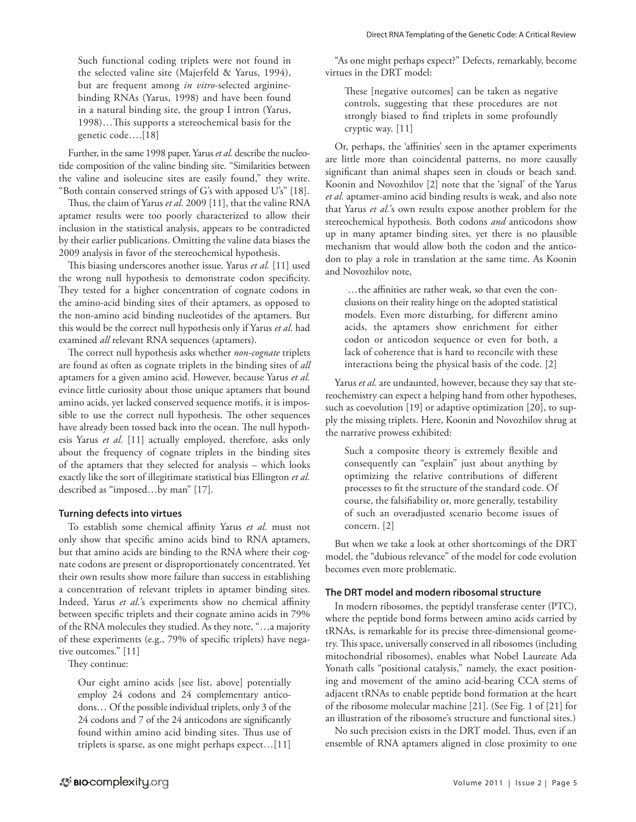Such functional coding triplets were not found in the selected valine site (Majerfeld & Yarus, 1994), but are frequent among *in vitro*-selected argininebinding RNAs (Yarus, 1998) and have been found in a natural binding site, the group I intron (Yarus, 1998)…This supports a stereochemical basis for the genetic code….[18]

Further, in the same 1998 paper, Yarus *et al.* describe the nucleotide composition of the valine binding site. "Similarities between the valine and isoleucine sites are easily found," they write. "Both contain conserved strings of G's with apposed U's" [18].

Thus, the claim of Yarus *et al.* 2009 [11], that the valine RNA aptamer results were too poorly characterized to allow their inclusion in the statistical analysis, appears to be contradicted by their earlier publications. Omitting the valine data biases the 2009 analysis in favor of the stereochemical hypothesis.

This biasing underscores another issue. Yarus *et al.* [11] used the wrong null hypothesis to demonstrate codon specificity. They tested for a higher concentration of cognate codons in the amino-acid binding sites of their aptamers, as opposed to the non-amino acid binding nucleotides of the aptamers. But this would be the correct null hypothesis only if Yarus *et al.* had examined *all* relevant RNA sequences (aptamers).

The correct null hypothesis asks whether *non-cognate* triplets are found as often as cognate triplets in the binding sites of *all* aptamers for a given amino acid. However, because Yarus *et al.* evince little curiosity about those unique aptamers that bound amino acids, yet lacked conserved sequence motifs, it is impossible to use the correct null hypothesis. The other sequences have already been tossed back into the ocean. The null hypothesis Yarus *et al.* [11] actually employed, therefore, asks only about the frequency of cognate triplets in the binding sites of the aptamers that they selected for analysis – which looks exactly like the sort of illegitimate statistical bias Ellington *et al.* described as "imposed…by man" [17].

#### **Turning defects into virtues**

To establish some chemical affinity Yarus *et al.* must not only show that specific amino acids bind to RNA aptamers, but that amino acids are binding to the RNA where their cognate codons are present or disproportionately concentrated. Yet their own results show more failure than success in establishing a concentration of relevant triplets in aptamer binding sites. Indeed, Yarus *et al.*'s experiments show no chemical affinity between specific triplets and their cognate amino acids in 79% of the RNA molecules they studied. As they note, "…a majority of these experiments (e.g., 79% of specific triplets) have negative outcomes." [11]

They continue:

Our eight amino acids [see list, above] potentially employ 24 codons and 24 complementary anticodons… Of the possible individual triplets, only 3 of the 24 codons and 7 of the 24 anticodons are significantly found within amino acid binding sites. Thus use of triplets is sparse, as one might perhaps expect…[11]

"As one might perhaps expect?" Defects, remarkably, become virtues in the DRT model:

These [negative outcomes] can be taken as negative controls, suggesting that these procedures are not strongly biased to find triplets in some profoundly cryptic way. [11]

Or, perhaps, the 'affinities' seen in the aptamer experiments are little more than coincidental patterns, no more causally significant than animal shapes seen in clouds or beach sand. Koonin and Novozhilov [2] note that the 'signal' of the Yarus *et al.* aptamer-amino acid binding results is weak, and also note that Yarus *et al.*'s own results expose another problem for the stereochemical hypothesis. Both codons *and* anticodons show up in many aptamer binding sites, yet there is no plausible mechanism that would allow both the codon and the anticodon to play a role in translation at the same time. As Koonin and Novozhilov note,

 …the affinities are rather weak, so that even the conclusions on their reality hinge on the adopted statistical models. Even more disturbing, for different amino acids, the aptamers show enrichment for either codon or anticodon sequence or even for both, a lack of coherence that is hard to reconcile with these interactions being the physical basis of the code. [2]

Yarus *et al.* are undaunted, however, because they say that stereochemistry can expect a helping hand from other hypotheses, such as coevolution [19] or adaptive optimization [20], to supply the missing triplets. Here, Koonin and Novozhilov shrug at the narrative prowess exhibited:

Such a composite theory is extremely flexible and consequently can "explain" just about anything by optimizing the relative contributions of different processes to fit the structure of the standard code. Of course, the falsifiability or, more generally, testability of such an overadjusted scenario become issues of concern. [2]

But when we take a look at other shortcomings of the DRT model, the "dubious relevance" of the model for code evolution becomes even more problematic.

#### **The DRT model and modern ribosomal structure**

In modern ribosomes, the peptidyl transferase center (PTC), where the peptide bond forms between amino acids carried by tRNAs, is remarkable for its precise three-dimensional geometry. This space, universally conserved in all ribosomes (including mitochondrial ribosomes), enables what Nobel Laureate Ada Yonath calls "positional catalysis," namely, the exact positioning and movement of the amino acid-bearing CCA stems of adjacent tRNAs to enable peptide bond formation at the heart of the ribosome molecular machine [21]. (See Fig. 1 of [21] for an illustration of the ribosome's structure and functional sites.)

No such precision exists in the DRT model. Thus, even if an ensemble of RNA aptamers aligned in close proximity to one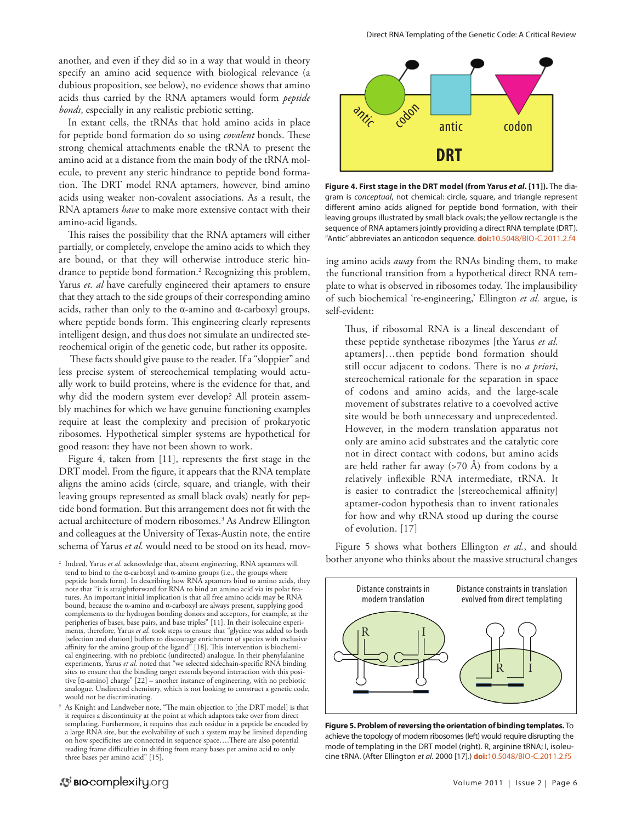another, and even if they did so in a way that would in theory specify an amino acid sequence with biological relevance (a dubious proposition, see below), no evidence shows that amino acids thus carried by the RNA aptamers would form *peptide bonds*, especially in any realistic prebiotic setting.

In extant cells, the tRNAs that hold amino acids in place for peptide bond formation do so using *covalent* bonds. These strong chemical attachments enable the tRNA to present the amino acid at a distance from the main body of the tRNA molecule, to prevent any steric hindrance to peptide bond formation. The DRT model RNA aptamers, however, bind amino acids using weaker non-covalent associations. As a result, the RNA aptamers *have* to make more extensive contact with their amino-acid ligands.

This raises the possibility that the RNA aptamers will either partially, or completely, envelope the amino acids to which they are bound, or that they will otherwise introduce steric hindrance to peptide bond formation.2 Recognizing this problem, Yarus *et. al* have carefully engineered their aptamers to ensure that they attach to the side groups of their corresponding amino acids, rather than only to the  $\alpha$ -amino and  $\alpha$ -carboxyl groups, where peptide bonds form. This engineering clearly represents intelligent design, and thus does not simulate an undirected stereochemical origin of the genetic code, but rather its opposite.

 These facts should give pause to the reader. If a "sloppier" and less precise system of stereochemical templating would actually work to build proteins, where is the evidence for that, and why did the modern system ever develop? All protein assembly machines for which we have genuine functioning examples require at least the complexity and precision of prokaryotic ribosomes. Hypothetical simpler systems are hypothetical for good reason: they have not been shown to work.

Figure 4, taken from [11], represents the first stage in the DRT model. From the figure, it appears that the RNA template aligns the amino acids (circle, square, and triangle, with their leaving groups represented as small black ovals) neatly for peptide bond formation. But this arrangement does not fit with the actual architecture of modern ribosomes.<sup>3</sup> As Andrew Ellington and colleagues at the University of Texas-Austin note, the entire schema of Yarus *et al.* would need to be stood on its head, mov-

<sup>2</sup> Indeed, Yarus *et al*. acknowledge that, absent engineering, RNA aptamers will tend to bind to the α-carboxyl and α-amino groups (i.e., the groups where peptide bonds form). In describing how RNA aptamers bind to amino acids, they note that "it is straightforward for RNA to bind an amino acid via its polar features. An important initial implication is that all free amino acids may be RNA bound, because the α-amino and α-carboxyl are always present, supplying good complements to the hydrogen bonding donors and acceptors, for example, at the peripheries of bases, base pairs, and base triples" [11]. In their isolecuine experiments, therefore, Yarus *et al*. took steps to ensure that "glycine was added to both [selection and elution] buffers to discourage enrichment of species with exclusive affinity for the amino group of the ligand" [18]. This intervention is biochemical engineering, with no prebiotic (undirected) analogue. In their phenylalanine experiments, Yarus *et al.* noted that "we selected sidechain-specific RNA binding sites to ensure that the binding target extends beyond interaction with this positive [α-amino] charge" [22] – another instance of engineering, with no prebiotic analogue. Undirected chemistry, which is not looking to construct a genetic code, would not be discriminating.

<sup>3</sup> As Knight and Landweber note, "The main objection to [the DRT model] is that it requires a discontinuity at the point at which adaptors take over from direct templating. Furthermore, it requires that each residue in a peptide be encoded by a large RNA site, but the evolvability of such a system may be limited depending on how specificites are connected in sequence space….There are also potential reading frame difficulties in shifting from many bases per amino acid to only three bases per amino acid" [15].



**Figure 4. First stage in the DRT model (from Yarus** *et al***. [11]).** The diagram is *conceptual*, not chemical: circle, square, and triangle represent different amino acids aligned for peptide bond formation, with their leaving groups illustrated by small black ovals; the yellow rectangle is the sequence of RNA aptamers jointly providing a direct RNA template (DRT). "Antic" abbreviates an anticodon sequence. **doi:**[10.5048/BIO-C.2011.2.f4](http://dx.doi.org/10.5048/BIO-C.2011.2.f4)

ing amino acids *away* from the RNAs binding them, to make the functional transition from a hypothetical direct RNA template to what is observed in ribosomes today. The implausibility of such biochemical 're-engineering,' Ellington *et al.* argue, is self-evident:

Thus, if ribosomal RNA is a lineal descendant of these peptide synthetase ribozymes [the Yarus *et al.* aptamers]…then peptide bond formation should still occur adjacent to codons. There is no *a priori*, stereochemical rationale for the separation in space of codons and amino acids, and the large-scale movement of substrates relative to a coevolved active site would be both unnecessary and unprecedented. However, in the modern translation apparatus not only are amino acid substrates and the catalytic core not in direct contact with codons, but amino acids are held rather far away  $(>70 \text{ Å})$  from codons by a relatively inflexible RNA intermediate, tRNA. It is easier to contradict the [stereochemical affinity] aptamer-codon hypothesis than to invent rationales for how and why tRNA stood up during the course of evolution. [17]

Figure 5 shows what bothers Ellington *et al.*, and should bother anyone who thinks about the massive structural changes



**Figure 5. Problem of reversing the orientation of binding templates.** To achieve the topology of modern ribosomes (left) would require disrupting the mode of templating in the DRT model (right). R, arginine tRNA; I, isoleucine tRNA. (After Ellington *et al.* 2000 [17].) **doi:**[10.5048/BIO-C.2011.2.f5](http://dx.doi.org/10.5048/BIO-C.2011.2.f5)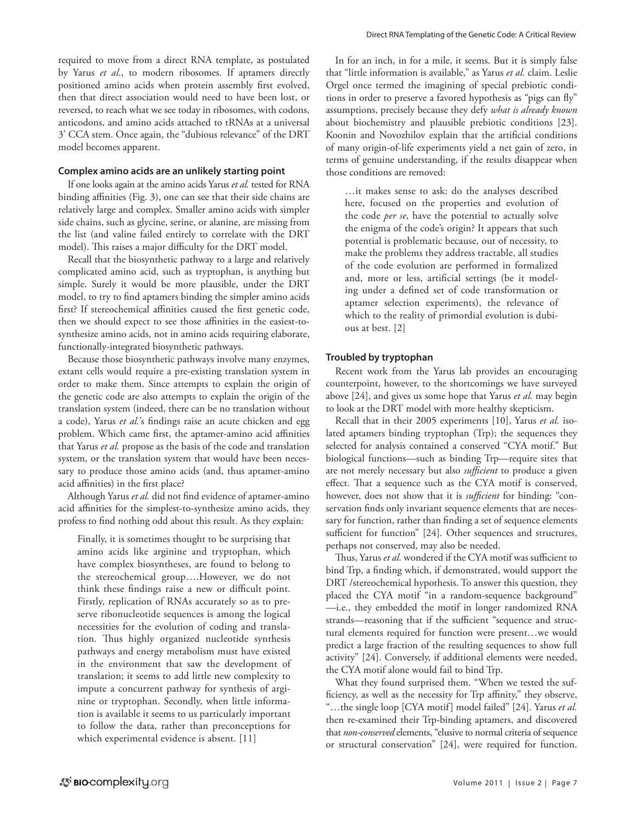required to move from a direct RNA template, as postulated by Yarus *et al.*, to modern ribosomes. If aptamers directly positioned amino acids when protein assembly first evolved, then that direct association would need to have been lost, or reversed, to reach what we see today in ribosomes, with codons, anticodons, and amino acids attached to tRNAs at a universal 3' CCA stem. Once again, the "dubious relevance" of the DRT model becomes apparent.

#### **Complex amino acids are an unlikely starting point**

If one looks again at the amino acids Yarus *et al.* tested for RNA binding affinities (Fig. 3), one can see that their side chains are relatively large and complex. Smaller amino acids with simpler side chains, such as glycine, serine, or alanine, are missing from the list (and valine failed entirely to correlate with the DRT model). This raises a major difficulty for the DRT model.

Recall that the biosynthetic pathway to a large and relatively complicated amino acid, such as tryptophan, is anything but simple. Surely it would be more plausible, under the DRT model, to try to find aptamers binding the simpler amino acids first? If stereochemical affinities caused the first genetic code, then we should expect to see those affinities in the easiest-tosynthesize amino acids, not in amino acids requiring elaborate, functionally-integrated biosynthetic pathways.

Because those biosynthetic pathways involve many enzymes, extant cells would require a pre-existing translation system in order to make them. Since attempts to explain the origin of the genetic code are also attempts to explain the origin of the translation system (indeed, there can be no translation without a code), Yarus *et al.*'s findings raise an acute chicken and egg problem. Which came first, the aptamer-amino acid affinities that Yarus *et al.* propose as the basis of the code and translation system, or the translation system that would have been necessary to produce those amino acids (and, thus aptamer-amino acid affinities) in the first place?

Although Yarus *et al.* did not find evidence of aptamer-amino acid affinities for the simplest-to-synthesize amino acids, they profess to find nothing odd about this result. As they explain:

Finally, it is sometimes thought to be surprising that amino acids like arginine and tryptophan, which have complex biosyntheses, are found to belong to the stereochemical group….However, we do not think these findings raise a new or difficult point. Firstly, replication of RNAs accurately so as to preserve ribonucleotide sequences is among the logical necessities for the evolution of coding and translation. Thus highly organized nucleotide synthesis pathways and energy metabolism must have existed in the environment that saw the development of translation; it seems to add little new complexity to impute a concurrent pathway for synthesis of arginine or tryptophan. Secondly, when little information is available it seems to us particularly important to follow the data, rather than preconceptions for which experimental evidence is absent. [11]

In for an inch, in for a mile, it seems. But it is simply false that "little information is available," as Yarus *et al.* claim. Leslie Orgel once termed the imagining of special prebiotic conditions in order to preserve a favored hypothesis as "pigs can fly" assumptions, precisely because they defy *what is already known* about biochemistry and plausible prebiotic conditions [23]. Koonin and Novozhilov explain that the artificial conditions of many origin-of-life experiments yield a net gain of zero, in terms of genuine understanding, if the results disappear when those conditions are removed:

…it makes sense to ask: do the analyses described here, focused on the properties and evolution of the code *per se*, have the potential to actually solve the enigma of the code's origin? It appears that such potential is problematic because, out of necessity, to make the problems they address tractable, all studies of the code evolution are performed in formalized and, more or less, artificial settings (be it modeling under a defined set of code transformation or aptamer selection experiments), the relevance of which to the reality of primordial evolution is dubious at best. [2]

#### **Troubled by tryptophan**

Recent work from the Yarus lab provides an encouraging counterpoint, however, to the shortcomings we have surveyed above [24], and gives us some hope that Yarus *et al.* may begin to look at the DRT model with more healthy skepticism.

Recall that in their 2005 experiments [10], Yarus *et al.* isolated aptamers binding tryptophan (Trp); the sequences they selected for analysis contained a conserved "CYA motif." But biological functions—such as binding Trp—require sites that are not merely necessary but also *sufficient* to produce a given effect. That a sequence such as the CYA motif is conserved, however, does not show that it is *sufficient* for binding: "conservation finds only invariant sequence elements that are necessary for function, rather than finding a set of sequence elements sufficient for function" [24]. Other sequences and structures, perhaps not conserved, may also be needed.

Thus, Yarus *et al.* wondered if the CYA motif was sufficient to bind Trp, a finding which, if demonstrated, would support the DRT /stereochemical hypothesis. To answer this question, they placed the CYA motif "in a random-sequence background" —i.e., they embedded the motif in longer randomized RNA strands—reasoning that if the sufficient "sequence and structural elements required for function were present…we would predict a large fraction of the resulting sequences to show full activity" [24]. Conversely, if additional elements were needed, the CYA motif alone would fail to bind Trp.

What they found surprised them. "When we tested the sufficiency, as well as the necessity for Trp affinity," they observe, "…the single loop [CYA motif] model failed" [24]. Yarus *et al.* then re-examined their Trp-binding aptamers, and discovered that *non-conserved* elements, "elusive to normal criteria of sequence or structural conservation" [24], were required for function.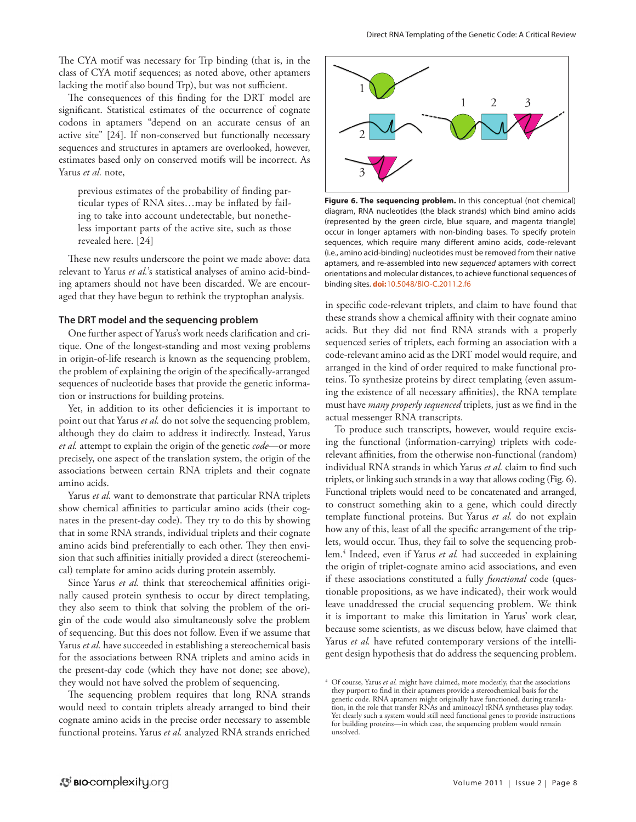The CYA motif was necessary for Trp binding (that is, in the class of CYA motif sequences; as noted above, other aptamers lacking the motif also bound Trp), but was not sufficient.

The consequences of this finding for the DRT model are significant. Statistical estimates of the occurrence of cognate codons in aptamers "depend on an accurate census of an active site" [24]. If non-conserved but functionally necessary sequences and structures in aptamers are overlooked, however, estimates based only on conserved motifs will be incorrect. As Yarus *et al.* note,

previous estimates of the probability of finding particular types of RNA sites…may be inflated by failing to take into account undetectable, but nonetheless important parts of the active site, such as those revealed here. [24]

These new results underscore the point we made above: data relevant to Yarus *et al.*'s statistical analyses of amino acid-binding aptamers should not have been discarded. We are encouraged that they have begun to rethink the tryptophan analysis.

#### **The DRT model and the sequencing problem**

One further aspect of Yarus's work needs clarification and critique. One of the longest-standing and most vexing problems in origin-of-life research is known as the sequencing problem, the problem of explaining the origin of the specifically-arranged sequences of nucleotide bases that provide the genetic information or instructions for building proteins.

Yet, in addition to its other deficiencies it is important to point out that Yarus *et al.* do not solve the sequencing problem, although they do claim to address it indirectly. Instead, Yarus *et al.* attempt to explain the origin of the genetic *code*—or more precisely, one aspect of the translation system, the origin of the associations between certain RNA triplets and their cognate amino acids.

Yarus *et al.* want to demonstrate that particular RNA triplets show chemical affinities to particular amino acids (their cognates in the present-day code). They try to do this by showing that in some RNA strands, individual triplets and their cognate amino acids bind preferentially to each other. They then envision that such affinities initially provided a direct (stereochemical) template for amino acids during protein assembly.

Since Yarus et al. think that stereochemical affinities originally caused protein synthesis to occur by direct templating, they also seem to think that solving the problem of the origin of the code would also simultaneously solve the problem of sequencing. But this does not follow. Even if we assume that Yarus *et al.* have succeeded in establishing a stereochemical basis for the associations between RNA triplets and amino acids in the present-day code (which they have not done; see above), they would not have solved the problem of sequencing.

The sequencing problem requires that long RNA strands would need to contain triplets already arranged to bind their cognate amino acids in the precise order necessary to assemble functional proteins. Yarus *et al.* analyzed RNA strands enriched



**Figure 6. The sequencing problem.** In this conceptual (not chemical) diagram, RNA nucleotides (the black strands) which bind amino acids (represented by the green circle, blue square, and magenta triangle) occur in longer aptamers with non-binding bases. To specify protein sequences, which require many different amino acids, code-relevant (i.e., amino acid-binding) nucleotides must be removed from their native aptamers, and re-assembled into new *sequenced* aptamers with correct orientations and molecular distances, to achieve functional sequences of binding sites. **doi:**[10.5048/BIO-C.2011.2.f6](http://dx.doi.org/10.5048/BIO-C.2011.2.f6)

in specific code-relevant triplets, and claim to have found that these strands show a chemical affinity with their cognate amino acids. But they did not find RNA strands with a properly sequenced series of triplets, each forming an association with a code-relevant amino acid as the DRT model would require, and arranged in the kind of order required to make functional proteins. To synthesize proteins by direct templating (even assuming the existence of all necessary affinities), the RNA template must have *many properly sequenced* triplets, just as we find in the actual messenger RNA transcripts.

To produce such transcripts, however, would require excising the functional (information-carrying) triplets with coderelevant affinities, from the otherwise non-functional (random) individual RNA strands in which Yarus *et al.* claim to find such triplets, or linking such strands in a way that allows coding (Fig. 6). Functional triplets would need to be concatenated and arranged, to construct something akin to a gene, which could directly template functional proteins. But Yarus *et al.* do not explain how any of this, least of all the specific arrangement of the triplets, would occur. Thus, they fail to solve the sequencing problem.4 Indeed, even if Yarus *et al.* had succeeded in explaining the origin of triplet-cognate amino acid associations, and even if these associations constituted a fully *functional* code (questionable propositions, as we have indicated), their work would leave unaddressed the crucial sequencing problem. We think it is important to make this limitation in Yarus' work clear, because some scientists, as we discuss below, have claimed that Yarus *et al.* have refuted contemporary versions of the intelligent design hypothesis that do address the sequencing problem.

<sup>&</sup>lt;sup>4</sup> Of course, Yarus *et al.* might have claimed, more modestly, that the associations they purport to find in their aptamers provide a stereochemical basis for the genetic code. RNA aptamers might originally have functioned, during translation, in the role that transfer RNAs and aminoacyl tRNA synthetases play today. Yet clearly such a system would still need functional genes to provide instructions for building proteins—in which case, the sequencing problem would remain unsolved.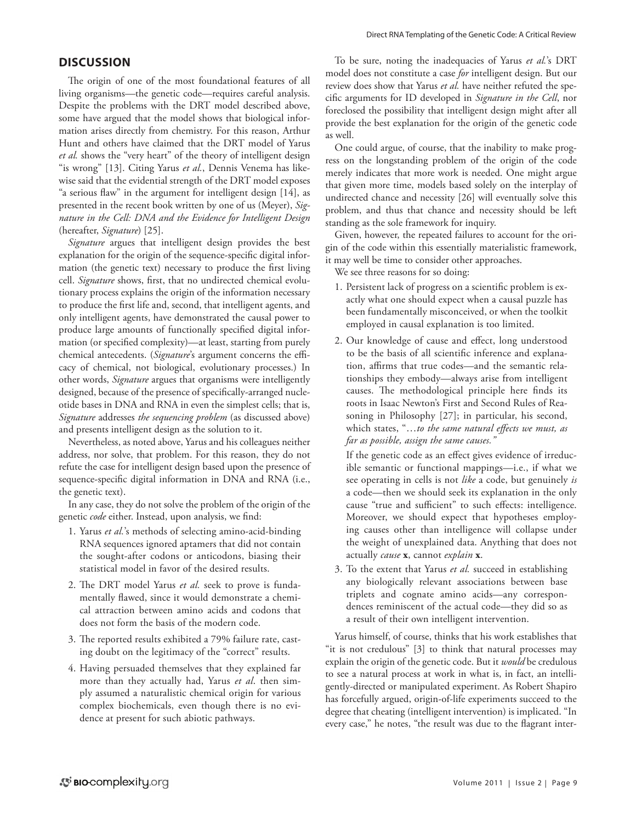# **DISCUSSION**

The origin of one of the most foundational features of all living organisms—the genetic code—requires careful analysis. Despite the problems with the DRT model described above, some have argued that the model shows that biological information arises directly from chemistry. For this reason, Arthur Hunt and others have claimed that the DRT model of Yarus *et al.* shows the "very heart" of the theory of intelligent design "is wrong" [13]. Citing Yarus *et al.*, Dennis Venema has likewise said that the evidential strength of the DRT model exposes "a serious flaw" in the argument for intelligent design [14], as presented in the recent book written by one of us (Meyer), *Signature in the Cell: DNA and the Evidence for Intelligent Design* (hereafter, *Signature*) [25].

*Signature* argues that intelligent design provides the best explanation for the origin of the sequence-specific digital information (the genetic text) necessary to produce the first living cell. *Signature* shows, first, that no undirected chemical evolutionary process explains the origin of the information necessary to produce the first life and, second, that intelligent agents, and only intelligent agents, have demonstrated the causal power to produce large amounts of functionally specified digital information (or specified complexity)—at least, starting from purely chemical antecedents. (*Signature*'s argument concerns the efficacy of chemical, not biological, evolutionary processes.) In other words, *Signature* argues that organisms were intelligently designed, because of the presence of specifically-arranged nucleotide bases in DNA and RNA in even the simplest cells; that is, *Signature* addresses *the sequencing problem* (as discussed above) and presents intelligent design as the solution to it.

Nevertheless, as noted above, Yarus and his colleagues neither address, nor solve, that problem. For this reason, they do not refute the case for intelligent design based upon the presence of sequence-specific digital information in DNA and RNA (i.e., the genetic text).

In any case, they do not solve the problem of the origin of the genetic *code* either. Instead, upon analysis, we find:

- 1. Yarus *et al.*'s methods of selecting amino-acid-binding RNA sequences ignored aptamers that did not contain the sought-after codons or anticodons, biasing their statistical model in favor of the desired results.
- 2. The DRT model Yarus *et al.* seek to prove is fundamentally flawed, since it would demonstrate a chemical attraction between amino acids and codons that does not form the basis of the modern code.
- 3. The reported results exhibited a 79% failure rate, casting doubt on the legitimacy of the "correct" results.
- 4. Having persuaded themselves that they explained far more than they actually had, Yarus *et al*. then simply assumed a naturalistic chemical origin for various complex biochemicals, even though there is no evidence at present for such abiotic pathways.

To be sure, noting the inadequacies of Yarus *et al.*'s DRT model does not constitute a case *for* intelligent design. But our review does show that Yarus *et al.* have neither refuted the specific arguments for ID developed in *Signature in the Cell*, nor foreclosed the possibility that intelligent design might after all provide the best explanation for the origin of the genetic code as well.

One could argue, of course, that the inability to make progress on the longstanding problem of the origin of the code merely indicates that more work is needed. One might argue that given more time, models based solely on the interplay of undirected chance and necessity [26] will eventually solve this problem, and thus that chance and necessity should be left standing as the sole framework for inquiry.

Given, however, the repeated failures to account for the origin of the code within this essentially materialistic framework, it may well be time to consider other approaches.

We see three reasons for so doing:

- 1. Persistent lack of progress on a scientific problem is exactly what one should expect when a causal puzzle has been fundamentally misconceived, or when the toolkit employed in causal explanation is too limited.
- 2. Our knowledge of cause and effect, long understood to be the basis of all scientific inference and explanation, affirms that true codes—and the semantic relationships they embody—always arise from intelligent causes. The methodological principle here finds its roots in Isaac Newton's First and Second Rules of Reasoning in Philosophy [27]; in particular, his second, which states, "…*to the same natural effects we must, as far as possible, assign the same causes."*

If the genetic code as an effect gives evidence of irreducible semantic or functional mappings—i.e., if what we see operating in cells is not *like* a code, but genuinely *is* a code—then we should seek its explanation in the only cause "true and sufficient" to such effects: intelligence. Moreover, we should expect that hypotheses employing causes other than intelligence will collapse under the weight of unexplained data. Anything that does not actually *cause* **x**, cannot *explain* **x**.

3. To the extent that Yarus *et al.* succeed in establishing any biologically relevant associations between base triplets and cognate amino acids—any correspondences reminiscent of the actual code—they did so as a result of their own intelligent intervention.

Yarus himself, of course, thinks that his work establishes that "it is not credulous" [3] to think that natural processes may explain the origin of the genetic code. But it *would* be credulous to see a natural process at work in what is, in fact, an intelligently-directed or manipulated experiment. As Robert Shapiro has forcefully argued, origin-of-life experiments succeed to the degree that cheating (intelligent intervention) is implicated. "In every case," he notes, "the result was due to the flagrant inter